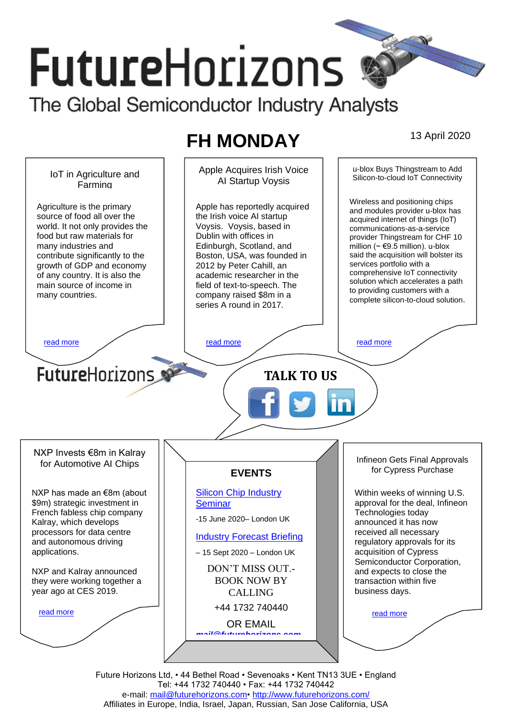# **FutureHorizons** The Global Semiconductor Industry Analysts

# **FH MONDAY** 13 April 2020



Future Horizons Ltd, • 44 Bethel Road • Sevenoaks • Kent TN13 3UE • England Tel: +44 1732 740440 • Fax: +44 1732 740442 e-mail: [mail@futurehorizons.com•](../FH%20Monday%20-%202017/mail@futurehorizons.com)<http://www.futurehorizons.com/> Affiliates in Europe, India, Israel, Japan, Russian, San Jose California, USA